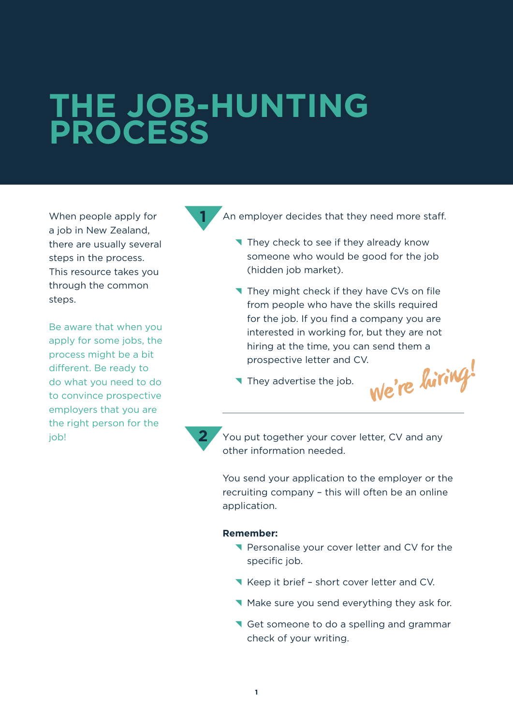## **THE JOB-HUNTING PROCESS**

When people apply for a job in New Zealand, there are usually several steps in the process. This resource takes you through the common steps.

Be aware that when you apply for some jobs, the process might be a bit different. Be ready to do what you need to do to convince prospective employers that you are the right person for the job!



An employer decides that they need more staff.

- They check to see if they already know someone who would be good for the job (hidden job market).
- They might check if they have CVs on file from people who have the skills required for the job. If you find a company you are interested in working for, but they are not hiring at the time, you can send them a prospective letter and CV.
- They advertise the job.

**We're hiring!**

**2**

You put together your cover letter, CV and any other information needed.

You send your application to the employer or the recruiting company – this will often be an online application.

## **Remember:**

- **T** Personalise your cover letter and CV for the specific job.
- Keep it brief short cover letter and CV.
- ^ Make sure you send everything they ask for.
- Get someone to do a spelling and grammar check of your writing.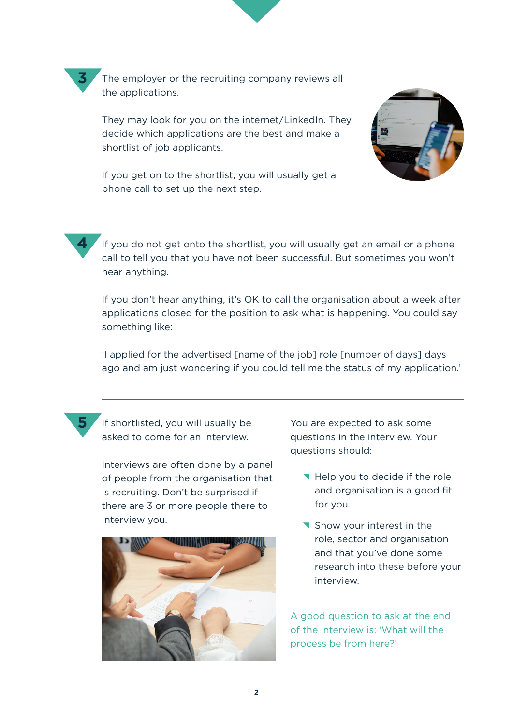The employer or the recruiting company reviews all the applications.

They may look for you on the internet/LinkedIn. They decide which applications are the best and make a shortlist of job applicants.



If you get on to the shortlist, you will usually get a phone call to set up the next step.



**3**

If you do not get onto the shortlist, you will usually get an email or a phone call to tell you that you have not been successful. But sometimes you won't hear anything.

If you don't hear anything, it's OK to call the organisation about a week after applications closed for the position to ask what is happening. You could say something like:

'I applied for the advertised [name of the job] role [number of days] days ago and am just wondering if you could tell me the status of my application.'



If shortlisted, you will usually be asked to come for an interview.

Interviews are often done by a panel of people from the organisation that is recruiting. Don't be surprised if there are 3 or more people there to interview you.



You are expected to ask some questions in the interview. Your questions should:

- Help you to decide if the role and organisation is a good fit for you.
- **T** Show your interest in the role, sector and organisation and that you've done some research into these before your interview.

A good question to ask at the end of the interview is: 'What will the process be from here?'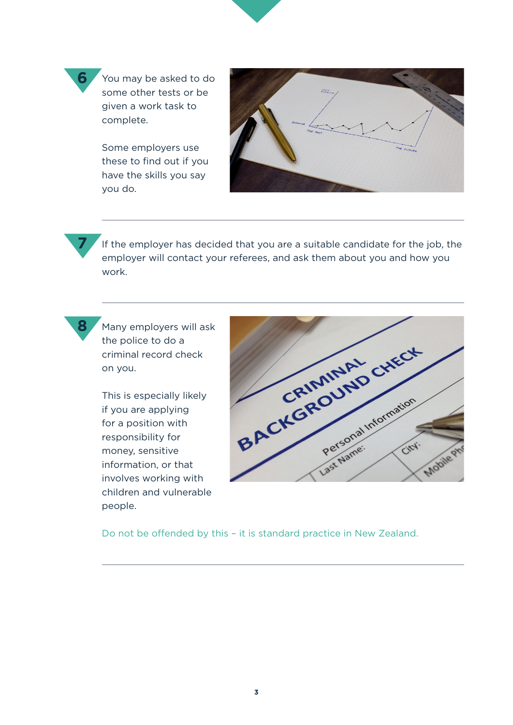

Some employers use these to find out if you have the skills you say you do.



If the employer has decided that you are a suitable candidate for the job, the employer will contact your referees, and ask them about you and how you work.



**7**

**6**

Many employers will ask the police to do a criminal record check on you.

This is especially likely if you are applying for a position with responsibility for money, sensitive information, or that involves working with children and vulnerable people.



Do not be offended by this – it is standard practice in New Zealand.